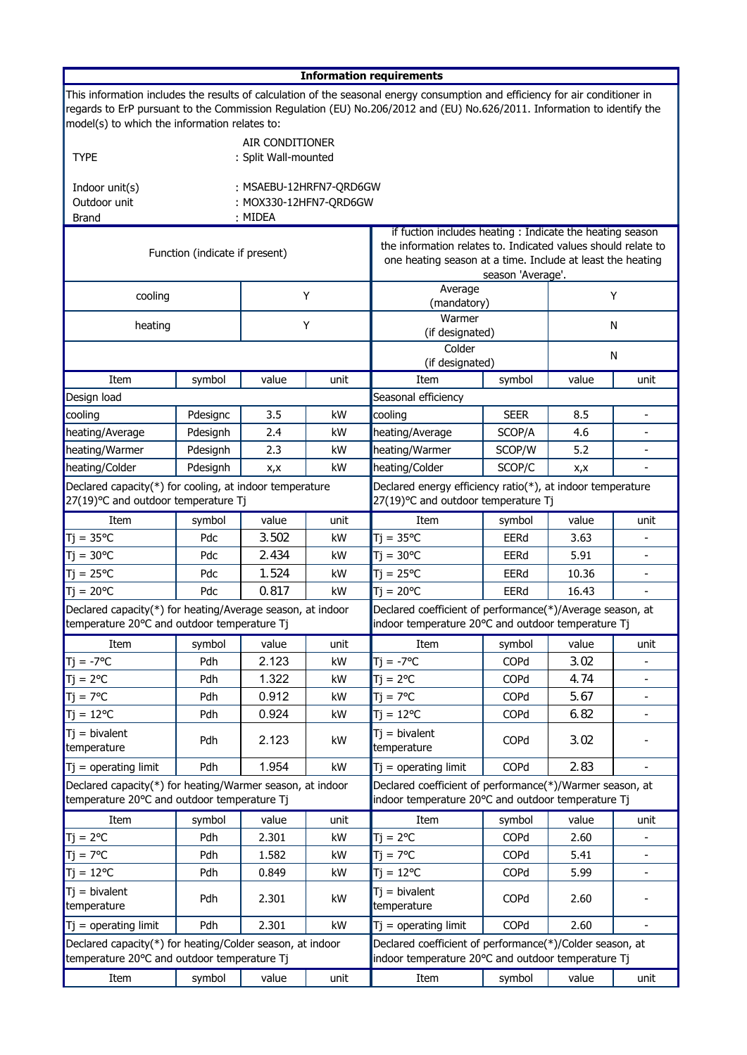| <b>Information requirements</b>                                                                                                                                                                                                                                                                           |                                |                                                              |                             |                                                                                                                                                                                                              |             |       |                          |  |  |  |  |
|-----------------------------------------------------------------------------------------------------------------------------------------------------------------------------------------------------------------------------------------------------------------------------------------------------------|--------------------------------|--------------------------------------------------------------|-----------------------------|--------------------------------------------------------------------------------------------------------------------------------------------------------------------------------------------------------------|-------------|-------|--------------------------|--|--|--|--|
| This information includes the results of calculation of the seasonal energy consumption and efficiency for air conditioner in<br>regards to ErP pursuant to the Commission Regulation (EU) No.206/2012 and (EU) No.626/2011. Information to identify the<br>model(s) to which the information relates to: |                                |                                                              |                             |                                                                                                                                                                                                              |             |       |                          |  |  |  |  |
| <b>TYPE</b>                                                                                                                                                                                                                                                                                               |                                | AIR CONDITIONER<br>: Split Wall-mounted                      |                             |                                                                                                                                                                                                              |             |       |                          |  |  |  |  |
| Indoor unit(s)<br>Outdoor unit<br><b>Brand</b>                                                                                                                                                                                                                                                            |                                | : MSAEBU-12HRFN7-QRD6GW<br>: MOX330-12HFN7-QRD6GW<br>: MIDEA |                             |                                                                                                                                                                                                              |             |       |                          |  |  |  |  |
|                                                                                                                                                                                                                                                                                                           | Function (indicate if present) |                                                              |                             | if fuction includes heating: Indicate the heating season<br>the information relates to. Indicated values should relate to<br>one heating season at a time. Include at least the heating<br>season 'Average'. |             |       |                          |  |  |  |  |
| cooling                                                                                                                                                                                                                                                                                                   | Υ                              |                                                              | Average<br>Y<br>(mandatory) |                                                                                                                                                                                                              |             |       |                          |  |  |  |  |
| heating                                                                                                                                                                                                                                                                                                   | Y                              |                                                              | Warmer<br>(if designated)   |                                                                                                                                                                                                              | N           |       |                          |  |  |  |  |
|                                                                                                                                                                                                                                                                                                           |                                |                                                              |                             | Colder<br>(if designated)                                                                                                                                                                                    |             | N     |                          |  |  |  |  |
| Item                                                                                                                                                                                                                                                                                                      | symbol                         | value                                                        | unit                        | Item                                                                                                                                                                                                         | symbol      | value | unit                     |  |  |  |  |
| Design load                                                                                                                                                                                                                                                                                               |                                |                                                              |                             | Seasonal efficiency                                                                                                                                                                                          |             |       |                          |  |  |  |  |
| cooling                                                                                                                                                                                                                                                                                                   | Pdesignc                       | 3.5                                                          | kW                          | cooling                                                                                                                                                                                                      | <b>SEER</b> | 8.5   |                          |  |  |  |  |
| heating/Average                                                                                                                                                                                                                                                                                           | Pdesignh                       | 2.4                                                          | kW                          | heating/Average                                                                                                                                                                                              | SCOP/A      | 4.6   |                          |  |  |  |  |
| heating/Warmer                                                                                                                                                                                                                                                                                            | Pdesignh                       | 2.3                                                          | kW                          | heating/Warmer                                                                                                                                                                                               | SCOP/W      | 5.2   |                          |  |  |  |  |
| heating/Colder                                                                                                                                                                                                                                                                                            | Pdesignh                       | X, X                                                         | kW                          | heating/Colder                                                                                                                                                                                               | SCOP/C      | x,x   |                          |  |  |  |  |
| Declared capacity(*) for cooling, at indoor temperature<br>27(19)°C and outdoor temperature Tj                                                                                                                                                                                                            |                                |                                                              |                             | Declared energy efficiency ratio(*), at indoor temperature<br>27(19)°C and outdoor temperature Tj                                                                                                            |             |       |                          |  |  |  |  |
| Item                                                                                                                                                                                                                                                                                                      | symbol                         | value                                                        | unit                        | Item                                                                                                                                                                                                         | symbol      | value | unit                     |  |  |  |  |
| $Tj = 35^{\circ}C$                                                                                                                                                                                                                                                                                        | Pdc                            | 3.502                                                        | kW                          | $Tj = 35^{\circ}C$                                                                                                                                                                                           | EERd        | 3.63  |                          |  |  |  |  |
| $Tj = 30^{\circ}C$                                                                                                                                                                                                                                                                                        | Pdc                            | 2.434                                                        | kW                          | $Tj = 30^{\circ}C$                                                                                                                                                                                           | EERd        | 5.91  |                          |  |  |  |  |
| $\overline{J}$ j = 25 °C                                                                                                                                                                                                                                                                                  | Pdc                            | 1.524                                                        | kW                          | $Tj = 25^{\circ}C$                                                                                                                                                                                           | EERd        | 10.36 |                          |  |  |  |  |
| $\mathsf{T}j = 20^{\circ}\mathsf{C}$                                                                                                                                                                                                                                                                      | Pdc                            | 0.817                                                        | kW                          | $Ti = 20^{\circ}C$                                                                                                                                                                                           | EERd        | 16.43 | $\overline{\phantom{a}}$ |  |  |  |  |
| Declared capacity(*) for heating/Average season, at indoor<br>temperature 20°C and outdoor temperature Tj                                                                                                                                                                                                 |                                |                                                              |                             | Declared coefficient of performance(*)/Average season, at<br>indoor temperature 20°C and outdoor temperature Tj                                                                                              |             |       |                          |  |  |  |  |
| Item                                                                                                                                                                                                                                                                                                      | symbol                         | value                                                        | unit                        | Item                                                                                                                                                                                                         | symbol      | value | unit                     |  |  |  |  |
| $\mathsf{T}j = -7^{\circ}\mathsf{C}$                                                                                                                                                                                                                                                                      | Pdh                            | 2.123                                                        | kW                          | $Ti = -7^{\circ}C$                                                                                                                                                                                           | <b>COPd</b> | 3.02  |                          |  |  |  |  |
| $Tj = 2^{\circ}C$                                                                                                                                                                                                                                                                                         | Pdh                            | 1.322                                                        | kW                          | $Tj = 2^{\circ}C$                                                                                                                                                                                            | COPd        | 4.74  |                          |  |  |  |  |
| $Tj = 7^{\circ}C$                                                                                                                                                                                                                                                                                         | Pdh                            | 0.912                                                        | kW                          | $Ti = 7^{\circ}C$                                                                                                                                                                                            | COPd        | 5.67  | $\blacksquare$           |  |  |  |  |
| $Tj = 12^{\circ}C$                                                                                                                                                                                                                                                                                        | Pdh                            | 0.924                                                        | kW                          | $Tj = 12^{\circ}C$                                                                                                                                                                                           | COPd        | 6.82  |                          |  |  |  |  |
| $Tj = bivalent$<br>temperature                                                                                                                                                                                                                                                                            | Pdh                            | 2.123                                                        | kW                          | $Tj = bivalent$<br>temperature                                                                                                                                                                               | COPd        | 3.02  |                          |  |  |  |  |
| $T$ j = operating limit                                                                                                                                                                                                                                                                                   | Pdh                            | 1.954                                                        | kW                          | $Tj = operating limit$                                                                                                                                                                                       | COPd        | 2.83  |                          |  |  |  |  |
| Declared capacity(*) for heating/Warmer season, at indoor<br>temperature 20°C and outdoor temperature Tj                                                                                                                                                                                                  |                                |                                                              |                             | Declared coefficient of performance(*)/Warmer season, at<br>indoor temperature 20°C and outdoor temperature Tj                                                                                               |             |       |                          |  |  |  |  |
| Item                                                                                                                                                                                                                                                                                                      | symbol                         | value                                                        | unit                        | Item                                                                                                                                                                                                         | symbol      | value | unit                     |  |  |  |  |
| $Tj = 2^{\circ}C$                                                                                                                                                                                                                                                                                         | Pdh                            | 2.301                                                        | kW                          | $Tj = 2^{\circ}C$                                                                                                                                                                                            | COPd        | 2.60  |                          |  |  |  |  |
| $Tj = 7^{\circ}C$                                                                                                                                                                                                                                                                                         | Pdh                            | 1.582                                                        | kW                          | $Tj = 7^{\circ}C$                                                                                                                                                                                            | COPd        | 5.41  | $\overline{\phantom{a}}$ |  |  |  |  |
| $Tj = 12^{\circ}C$                                                                                                                                                                                                                                                                                        | Pdh                            | 0.849                                                        | kW                          | $Tj = 12^{\circ}C$                                                                                                                                                                                           | COPd        | 5.99  |                          |  |  |  |  |
| $Tj = bivalent$<br>temperature                                                                                                                                                                                                                                                                            | Pdh                            | 2.301                                                        | kW                          | $Tj = bivalent$<br>temperature                                                                                                                                                                               | COPd        | 2.60  |                          |  |  |  |  |
| $Tj = operating limit$                                                                                                                                                                                                                                                                                    | Pdh                            | 2.301                                                        | kW                          | $Tj = operating limit$                                                                                                                                                                                       | COPd        | 2.60  |                          |  |  |  |  |
| Declared capacity(*) for heating/Colder season, at indoor<br>temperature 20°C and outdoor temperature Tj                                                                                                                                                                                                  |                                |                                                              |                             | Declared coefficient of performance(*)/Colder season, at<br>indoor temperature 20°C and outdoor temperature Tj                                                                                               |             |       |                          |  |  |  |  |
| Item                                                                                                                                                                                                                                                                                                      | symbol                         | value                                                        | unit                        | Item                                                                                                                                                                                                         | symbol      | value | unit                     |  |  |  |  |